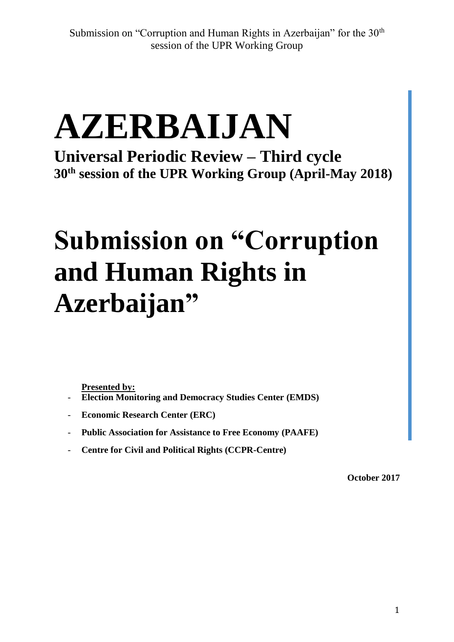# **AZERBAIJAN**

**Universal Periodic Review – Third cycle 30th session of the UPR Working Group (April-May 2018)**

# **Submission on "Corruption and Human Rights in Azerbaijan"**

**Presented by:**

- **Election Monitoring and Democracy Studies Center (EMDS)**
- **Economic Research Center (ERC)**
- **Public Association for Assistance to Free Economy (PAAFE)**
- **Centre for Civil and Political Rights (CCPR-Centre)**

**October 2017**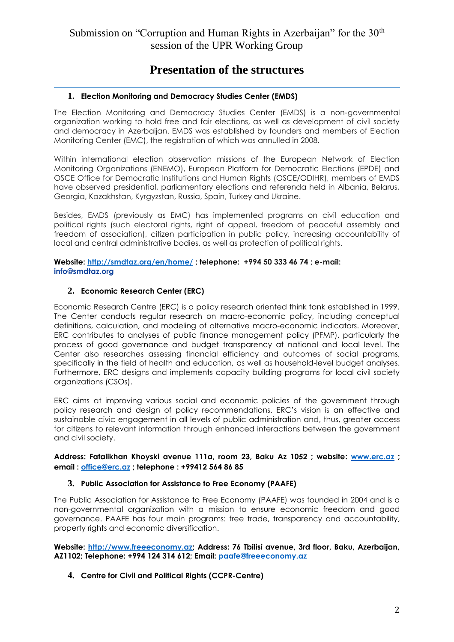#### **Presentation of the structures**

#### **1. Election Monitoring and Democracy Studies Center (EMDS)**

The Election Monitoring and Democracy Studies Center (EMDS) is a non-governmental organization working to hold free and fair elections, as well as development of civil society and democracy in Azerbaijan. EMDS was established by founders and members of Election Monitoring Center (EMC), the registration of which was annulled in 2008.

Within international election observation missions of the European Network of Election Monitoring Organizations (ENEMO), European Platform for Democratic Elections (EPDE) and OSCE Office for Democratic Institutions and Human Rights (OSCE/ODIHR), members of EMDS have observed presidential, parliamentary elections and referenda held in Albania, Belarus, Georgia, Kazakhstan, Kyrgyzstan, Russia, Spain, Turkey and Ukraine.

Besides, EMDS (previously as EMC) has implemented programs on civil education and political rights (such electoral rights, right of appeal, freedom of peaceful assembly and freedom of association), citizen participation in public policy, increasing accountability of local and central administrative bodies, as well as protection of political rights.

#### **Website:<http://smdtaz.org/en/home/> ; telephone: +994 50 333 46 74 ; e-mail: [info@smdtaz.org](mailto:info@smdtaz.org)**

#### **2. Economic Research Center (ERC)**

Economic Research Centre (ERC) is a policy research oriented think tank established in 1999. The Center conducts regular research on macro-economic policy, including conceptual definitions, calculation, and modeling of alternative macro-economic indicators. Moreover, ERC contributes to analyses of public finance management policy (PFMP), particularly the process of good governance and budget transparency at national and local level. The Center also researches assessing financial efficiency and outcomes of social programs, specifically in the field of health and education, as well as household-level budget analyses. Furthermore, ERC designs and implements capacity building programs for local civil society organizations (CSOs).

ERC aims at improving various social and economic policies of the government through policy research and design of policy recommendations. ERC's vision is an effective and sustainable civic engagement in all levels of public administration and, thus, greater access for citizens to relevant information through enhanced interactions between the government and civil society.

#### **Address: Fatalikhan Khoyski avenue 111a, room 23, Baku Az 1052 ; website: [www.erc.az](http://www.erc.az/) ; email : [office@erc.az](mailto:office@erc.az) ; telephone : +99412 564 86 85**

#### **3. Public Association for Assistance to Free Economy (PAAFE)**

The Public Association for Assistance to Free Economy (PAAFE) was founded in 2004 and is a non-governmental organization with a mission to ensure economic freedom and good governance. PAAFE has four main programs: free trade, transparency and accountability, property rights and economic diversification.

**Website: [http://www.freeeconomy.az;](http://www.freeeconomy.az/) Address: 76 Tbilisi avenue, 3rd floor, Baku, Azerbaijan, AZ1102; Telephone: +994 124 314 612; Email: [paafe@freeeconomy.az](mailto:paafe@freeeconomy.az)**

**4. Centre for Civil and Political Rights (CCPR-Centre)**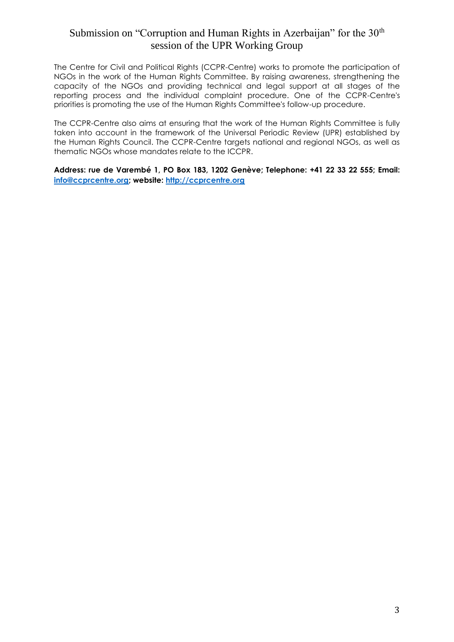The Centre for Civil and Political Rights (CCPR-Centre) works to promote the participation of NGOs in the work of the Human Rights Committee. By raising awareness, strengthening the capacity of the NGOs and providing technical and legal support at all stages of the reporting process and the individual complaint procedure. One of the CCPR-Centre's priorities is promoting the use of the Human Rights Committee's follow-up procedure.

The CCPR-Centre also aims at ensuring that the work of the Human Rights Committee is fully taken into account in the framework of the Universal Periodic Review (UPR) established by the Human Rights Council. The CCPR-Centre targets national and regional NGOs, as well as thematic NGOs whose mandates relate to the ICCPR.

**Address: rue de Varembé 1, PO Box 183, 1202 Genève; Telephone: +41 22 33 22 555; Email: [info@ccprcentre.org;](mailto:info@ccprcentre.org) website: [http://ccprcentre.org](http://ccprcentre.org/)**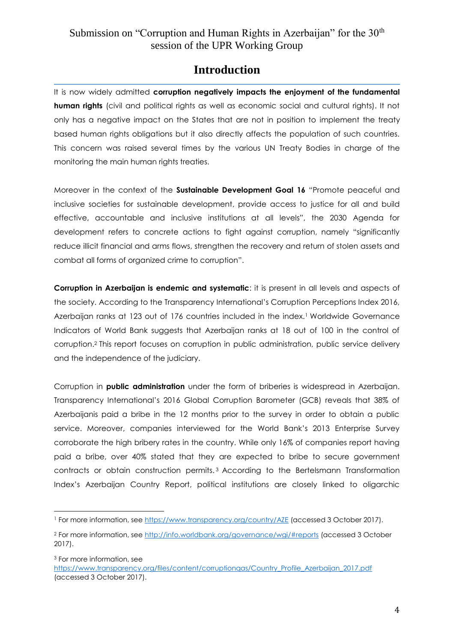#### **Introduction**

It is now widely admitted **corruption negatively impacts the enjoyment of the fundamental human rights** (civil and political rights as well as economic social and cultural rights). It not only has a negative impact on the States that are not in position to implement the treaty based human rights obligations but it also directly affects the population of such countries. This concern was raised several times by the various UN Treaty Bodies in charge of the monitoring the main human rights treaties.

Moreover in the context of the **Sustainable Development Goal 16** "Promote peaceful and inclusive societies for sustainable development, provide access to justice for all and build effective, accountable and inclusive institutions at all levels", the 2030 Agenda for development refers to concrete actions to fight against corruption, namely "significantly reduce illicit financial and arms flows, strengthen the recovery and return of stolen assets and combat all forms of organized crime to corruption".

**Corruption in Azerbaijan is endemic and systematic**: it is present in all levels and aspects of the society. According to the Transparency International's Corruption Perceptions Index 2016, Azerbaijan ranks at 123 out of 176 countries included in the index.<sup>1</sup> Worldwide Governance Indicators of World Bank suggests that Azerbaijan ranks at 18 out of 100 in the control of corruption.<sup>2</sup> This report focuses on corruption in public administration, public service delivery and the independence of the judiciary.

Corruption in **public administration** under the form of briberies is widespread in Azerbaijan. Transparency International's 2016 Global Corruption Barometer (GCB) reveals that 38% of Azerbaijanis paid a bribe in the 12 months prior to the survey in order to obtain a public service. Moreover, companies interviewed for the World Bank's 2013 Enterprise Survey corroborate the high bribery rates in the country. While only 16% of companies report having paid a bribe, over 40% stated that they are expected to bribe to secure government contracts or obtain construction permits. <sup>3</sup> According to the Bertelsmann Transformation Index's Azerbaijan Country Report, political institutions are closely linked to oligarchic

<sup>3</sup> For more information, see

 $\overline{a}$ <sup>1</sup> For more information, se[e https://www.transparency.org/country/AZE](https://www.transparency.org/country/AZE) (accessed 3 October 2017).

<sup>2</sup> For more information, se[e http://info.worldbank.org/governance/wgi/#reports](http://info.worldbank.org/governance/wgi/#reports) (accessed 3 October 2017).

https://www.transparency.org/files/content/corruptiongas/Country\_Profile\_Azerbaijan\_2017.pdf (accessed 3 October 2017).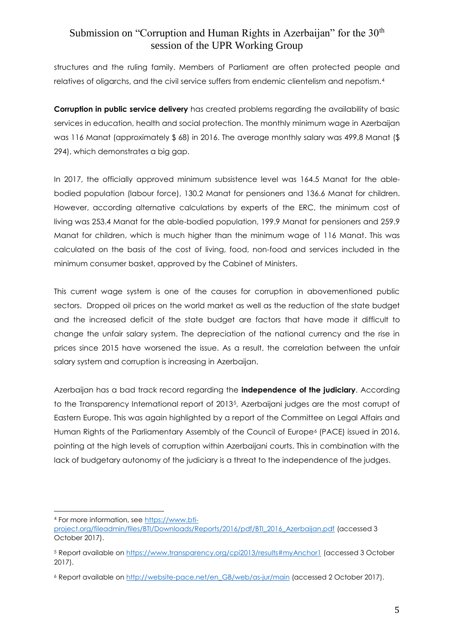structures and the ruling family. Members of Parliament are often protected people and relatives of oligarchs, and the civil service suffers from endemic clientelism and nepotism.<sup>4</sup>

**Corruption in public service delivery** has created problems regarding the availability of basic services in education, health and social protection. The monthly minimum wage in Azerbaijan was 116 Manat (approximately \$ 68) in 2016. The average monthly salary was 499,8 Manat (\$ 294), which demonstrates a big gap.

In 2017, the officially approved minimum subsistence level was 164.5 Manat for the ablebodied population (labour force), 130.2 Manat for pensioners and 136.6 Manat for children. However, according alternative calculations by experts of the ERC, the minimum cost of living was 253.4 Manat for the able-bodied population, 199.9 Manat for pensioners and 259.9 Manat for children, which is much higher than the minimum wage of 116 Manat. This was calculated on the basis of the cost of living, food, non-food and services included in the minimum consumer basket, approved by the Cabinet of Ministers.

This current wage system is one of the causes for corruption in abovementioned public sectors. Dropped oil prices on the world market as well as the reduction of the state budget and the increased deficit of the state budget are factors that have made it difficult to change the unfair salary system. The depreciation of the national currency and the rise in prices since 2015 have worsened the issue. As a result, the correlation between the unfair salary system and corruption is increasing in Azerbaijan.

Azerbaijan has a bad track record regarding the **independence of the judiciary**. According to the Transparency International report of 20135, Azerbaijani judges are the most corrupt of Eastern Europe. This was again highlighted by a report of the Committee on Legal Affairs and Human Rights of the Parliamentary Assembly of the Council of Europe<sup>6</sup> (PACE) issued in 2016, pointing at the high levels of corruption within Azerbaijani courts. This in combination with the lack of budgetary autonomy of the judiciary is a threat to the independence of the judges.

 $\overline{a}$ <sup>4</sup> For more information, se[e https://www.bti-](https://www.bti-project.org/fileadmin/files/BTI/Downloads/Reports/2016/pdf/BTI_2016_Azerbaijan.pdf)

[project.org/fileadmin/files/BTI/Downloads/Reports/2016/pdf/BTI\\_2016\\_Azerbaijan.pdf](https://www.bti-project.org/fileadmin/files/BTI/Downloads/Reports/2016/pdf/BTI_2016_Azerbaijan.pdf) (accessed 3 October 2017).

<sup>5</sup> Report available o[n https://www.transparency.org/cpi2013/results#myAnchor1](https://www.transparency.org/cpi2013/results#myAnchor1) (accessed 3 October 2017).

<sup>6</sup> Report available o[n http://website-pace.net/en\\_GB/web/as-jur/main](http://website-pace.net/en_GB/web/as-jur/main) (accessed 2 October 2017).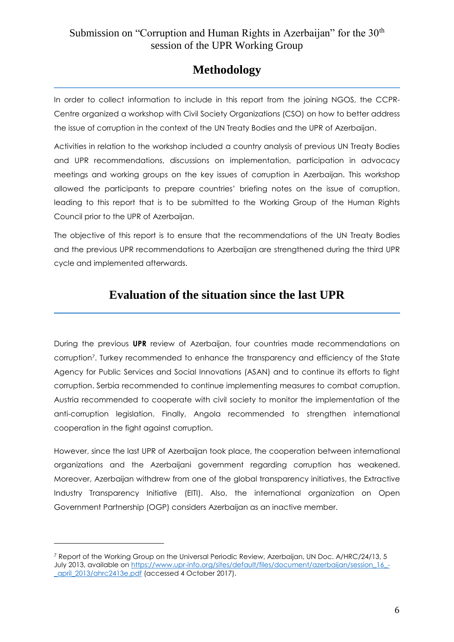# **Methodology**

In order to collect information to include in this report from the joining NGOS, the CCPR-Centre organized a workshop with Civil Society Organizations (CSO) on how to better address the issue of corruption in the context of the UN Treaty Bodies and the UPR of Azerbaijan.

Activities in relation to the workshop included a country analysis of previous UN Treaty Bodies and UPR recommendations, discussions on implementation, participation in advocacy meetings and working groups on the key issues of corruption in Azerbaijan. This workshop allowed the participants to prepare countries' briefing notes on the issue of corruption, leading to this report that is to be submitted to the Working Group of the Human Rights Council prior to the UPR of Azerbaijan.

The objective of this report is to ensure that the recommendations of the UN Treaty Bodies and the previous UPR recommendations to Azerbaijan are strengthened during the third UPR cycle and implemented afterwards.

# **Evaluation of the situation since the last UPR**

During the previous **UPR** review of Azerbaijan, four countries made recommendations on corruption7. Turkey recommended to enhance the transparency and efficiency of the State Agency for Public Services and Social Innovations (ASAN) and to continue its efforts to fight corruption. Serbia recommended to continue implementing measures to combat corruption. Austria recommended to cooperate with civil society to monitor the implementation of the anti-corruption legislation. Finally, Angola recommended to strengthen international cooperation in the fight against corruption.

However, since the last UPR of Azerbaijan took place, the cooperation between international organizations and the Azerbaijani government regarding corruption has weakened. Moreover, Azerbaijan withdrew from one of the global transparency initiatives, the Extractive Industry Transparency Initiative (EITI). Also, the international organization on Open Government Partnership (OGP) considers Azerbaijan as an inactive member.

<sup>7</sup> Report of the Working Group on the Universal Periodic Review, Azerbaijan, UN Doc. A/HRC/24/13, 5 July 2013, available on [https://www.upr-info.org/sites/default/files/document/azerbaijan/session\\_16\\_-](https://www.upr-info.org/sites/default/files/document/azerbaijan/session_16_-_april_2013/ahrc2413e.pdf) [\\_april\\_2013/ahrc2413e.pdf](https://www.upr-info.org/sites/default/files/document/azerbaijan/session_16_-_april_2013/ahrc2413e.pdf) (accessed 4 October 2017).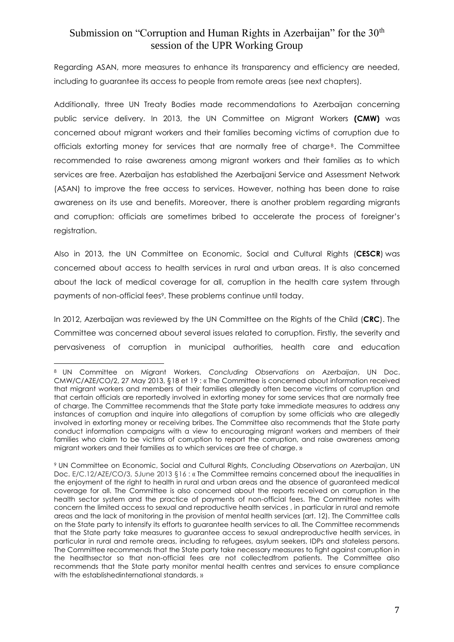Regarding ASAN, more measures to enhance its transparency and efficiency are needed, including to guarantee its access to people from remote areas (see next chapters).

Additionally, three UN Treaty Bodies made recommendations to Azerbaijan concerning public service delivery. In 2013, the UN Committee on Migrant Workers **(CMW)** was concerned about migrant workers and their families becoming victims of corruption due to officials extorting money for services that are normally free of charge<sup>8</sup>. The Committee recommended to raise awareness among migrant workers and their families as to which services are free. Azerbaijan has established the Azerbaijani Service and Assessment Network (ASAN) to improve the free access to services. However, nothing has been done to raise awareness on its use and benefits. Moreover, there is another problem regarding migrants and corruption: officials are sometimes bribed to accelerate the process of foreigner's registration.

Also in 2013, the UN Committee on Economic, Social and Cultural Rights (**CESCR**) was concerned about access to health services in rural and urban areas. It is also concerned about the lack of medical coverage for all, corruption in the health care system through payments of non-official fees<sup>9</sup>. These problems continue until today.

In 2012, Azerbaijan was reviewed by the UN Committee on the Rights of the Child (**CRC**). The Committee was concerned about several issues related to corruption. Firstly, the severity and pervasiveness of corruption in municipal authorities, health care and education

<sup>8</sup> UN Committee on Migrant Workers, *Concluding Observations on Azerbaijan*, UN Doc. CMW/C/AZE/CO/2, 27 May 2013, §18 et 19 : « The Committee is concerned about information received that migrant workers and members of their families allegedly often become victims of corruption and that certain officials are reportedly involved in extorting money for some services that are normally free of charge. The Committee recommends that the State party take immediate measures to address any instances of corruption and inquire into allegations of corruption by some officials who are allegedly involved in extorting money or receiving bribes. The Committee also recommends that the State party conduct information campaigns with a view to encouraging migrant workers and members of their families who claim to be victims of corruption to report the corruption, and raise awareness among migrant workers and their families as to which services are free of charge. »

<sup>9</sup> UN Committee on Economic, Social and Cultural Rights, *Concluding Observations on Azerbaijan*, UN Doc. E/C.12/AZE/CO/3, 5June 2013 §16 : « The Committee remains concerned about the inequalities in the enjoyment of the right to health in rural and urban areas and the absence of guaranteed medical coverage for all. The Committee is also concerned about the reports received on corruption in the health sector system and the practice of payments of non-official fees. The Committee notes with concern the limited access to sexual and reproductive health services , in particular in rural and remote areas and the lack of monitoring in the provision of mental health services (art. 12). The Committee calls on the State party to intensify its efforts to guarantee health services to all. The Committee recommends that the State party take measures to guarantee access to sexual andreproductive health services, in particular in rural and remote areas, including to refugees, asylum seekers, IDPs and stateless persons. The Committee recommends that the State party take necessary measures to fight against corruption in the healthsector so that non-official fees are not collectedfrom patients. The Committee also recommends that the State party monitor mental health centres and services to ensure compliance with the establishedinternational standards. »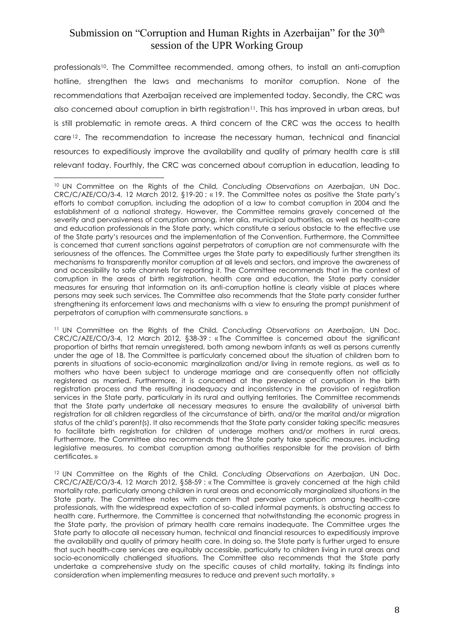professionals<sup>10</sup>. The Committee recommended, among others, to install an anti-corruption hotline, strengthen the laws and mechanisms to monitor corruption. None of the recommendations that Azerbaijan received are implemented today. Secondly, the CRC was also concerned about corruption in birth registration<sup>11</sup>. This has improved in urban areas, but is still problematic in remote areas. A third concern of the CRC was the access to health care<sup>12</sup>. The recommendation to increase the necessary human, technical and financial resources to expeditiously improve the availability and quality of primary health care is still relevant today. Fourthly, the CRC was concerned about corruption in education, leading to

 $\overline{a}$ <sup>10</sup> UN Committee on the Rights of the Child, *Concluding Observations on Azerbaijan*, UN Doc. CRC/C/AZE/CO/3-4, 12 March 2012, §19-20 : « 19. The Committee notes as positive the State party's efforts to combat corruption, including the adoption of a law to combat corruption in 2004 and the establishment of a national strategy. However, the Committee remains gravely concerned at the severity and pervasiveness of corruption among, inter alia, municipal authorities, as well as health-care and education professionals in the State party, which constitute a serious obstacle to the effective use of the State party's resources and the implementation of the Convention. Furthermore, the Committee is concerned that current sanctions against perpetrators of corruption are not commensurate with the seriousness of the offences. The Committee urges the State party to expeditiously further strengthen its mechanisms to transparently monitor corruption at all levels and sectors, and improve the awareness of and accessibility to safe channels for reporting it. The Committee recommends that in the context of corruption in the areas of birth registration, health care and education, the State party consider measures for ensuring that information on its anti-corruption hotline is clearly visible at places where persons may seek such services. The Committee also recommends that the State party consider further strengthening its enforcement laws and mechanisms with a view to ensuring the prompt punishment of perpetrators of corruption with commensurate sanctions. »

<sup>11</sup> UN Committee on the Rights of the Child, *Concluding Observations on Azerbaijan*, UN Doc. CRC/C/AZE/CO/3-4, 12 March 2012, §38-39 : « The Committee is concerned about the significant proportion of births that remain unregistered, both among newborn infants as well as persons currently under the age of 18. The Committee is particularly concerned about the situation of children born to parents in situations of socio-economic marginalization and/or living in remote regions, as well as to mothers who have been subject to underage marriage and are consequently often not officially registered as married. Furthermore, it is concerned at the prevalence of corruption in the birth registration process and the resulting inadequacy and inconsistency in the provision of registration services in the State party, particularly in its rural and outlying territories. The Committee recommends that the State party undertake all necessary measures to ensure the availability of universal birth registration for all children regardless of the circumstance of birth, and/or the marital and/or migration status of the child's parent(s). It also recommends that the State party consider taking specific measures to facilitate birth registration for children of underage mothers and/or mothers in rural areas. Furthermore, the Committee also recommends that the State party take specific measures, including legislative measures, to combat corruption among authorities responsible for the provision of birth certificates. »

<sup>12</sup> UN Committee on the Rights of the Child, *Concluding Observations on Azerbaijan*, UN Doc. CRC/C/AZE/CO/3-4, 12 March 2012, §58-59 : « The Committee is gravely concerned at the high child mortality rate, particularly among children in rural areas and economically marginalized situations in the State party. The Committee notes with concern that pervasive corruption among health-care professionals, with the widespread expectation of so-called informal payments, is obstructing access to health care. Furthermore, the Committee is concerned that notwithstanding the economic progress in the State party, the provision of primary health care remains inadequate. The Committee urges the State party to allocate all necessary human, technical and financial resources to expeditiously improve the availability and quality of primary health care. In doing so, the State party is further urged to ensure that such health-care services are equitably accessible, particularly to children living in rural areas and socio-economically challenged situations. The Committee also recommends that the State party undertake a comprehensive study on the specific causes of child mortality, taking its findings into consideration when implementing measures to reduce and prevent such mortality. »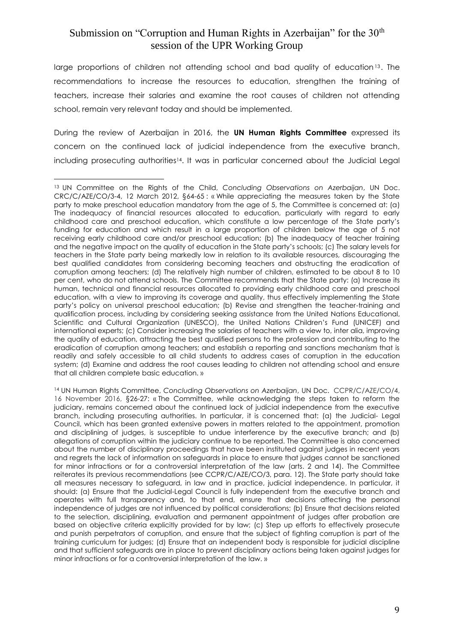large proportions of children not attending school and bad quality of education<sup>13</sup>. The recommendations to increase the resources to education, strengthen the training of teachers, increase their salaries and examine the root causes of children not attending school, remain very relevant today and should be implemented.

During the review of Azerbaijan in 2016, the **UN Human Rights Committee** expressed its concern on the continued lack of judicial independence from the executive branch, including prosecuting authorities14. It was in particular concerned about the Judicial Legal

 $\overline{a}$ <sup>13</sup> UN Committee on the Rights of the Child, *Concluding Observations on Azerbaijan*, UN Doc. CRC/C/AZE/CO/3-4, 12 March 2012, §64-65 : « While appreciating the measures taken by the State party to make preschool education mandatory from the age of 5, the Committee is concerned at: (a) The inadequacy of financial resources allocated to education, particularly with regard to early childhood care and preschool education, which constitute a low percentage of the State party's funding for education and which result in a large proportion of children below the age of 5 not receiving early childhood care and/or preschool education; (b) The inadequacy of teacher training and the negative impact on the quality of education in the State party's schools; (c) The salary levels for teachers in the State party being markedly low in relation to its available resources, discouraging the best qualified candidates from considering becoming teachers and obstructing the eradication of corruption among teachers; (d) The relatively high number of children, estimated to be about 8 to 10 per cent, who do not attend schools. The Committee recommends that the State party: (a) Increase its human, technical and financial resources allocated to providing early childhood care and preschool education, with a view to improving its coverage and quality, thus effectively implementing the State party's policy on universal preschool education; (b) Revise and strengthen the teacher-training and qualification process, including by considering seeking assistance from the United Nations Educational, Scientific and Cultural Organization (UNESCO), the United Nations Children's Fund (UNICEF) and international experts; (c) Consider increasing the salaries of teachers with a view to, inter alia, improving the quality of education, attracting the best qualified persons to the profession and contributing to the eradication of corruption among teachers; and establish a reporting and sanctions mechanism that is readily and safely accessible to all child students to address cases of corruption in the education system; (d) Examine and address the root causes leading to children not attending school and ensure that all children complete basic education. »

<sup>14</sup> UN Human Rights Committee, *Concluding Observations on Azerbaijan*, UN Doc. CCPR/C/AZE/CO/4, 16 November 2016, §26-27: « The Committee, while acknowledging the steps taken to reform the judiciary, remains concerned about the continued lack of judicial independence from the executive branch, including prosecuting authorities. In particular, it is concerned that: (a) the Judicial- Legal Council, which has been granted extensive powers in matters related to the appointment, promotion and disciplining of judges, is susceptible to undue interference by the executive branch; and (b) allegations of corruption within the judiciary continue to be reported. The Committee is also concerned about the number of disciplinary proceedings that have been instituted against judges in recent years and regrets the lack of information on safeguards in place to ensure that judges cannot be sanctioned for minor infractions or for a controversial interpretation of the law (arts. 2 and 14). The Committee reiterates its previous recommendations (see CCPR/C/AZE/CO/3, para. 12). The State party should take all measures necessary to safeguard, in law and in practice, judicial independence. In particular, it should: (a) Ensure that the Judicial-Legal Council is fully independent from the executive branch and operates with full transparency and, to that end, ensure that decisions affecting the personal independence of judges are not influenced by political considerations; (b) Ensure that decisions related to the selection, disciplining, evaluation and permanent appointment of judges after probation are based on objective criteria explicitly provided for by law; (c) Step up efforts to effectively prosecute and punish perpetrators of corruption, and ensure that the subject of fighting corruption is part of the training curriculum for judges; (d) Ensure that an independent body is responsible for judicial discipline and that sufficient safeguards are in place to prevent disciplinary actions being taken against judges for minor infractions or for a controversial interpretation of the law. »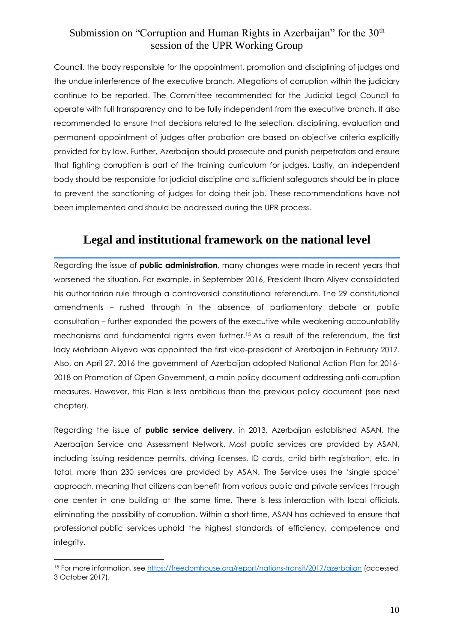Council, the body responsible for the appointment, promotion and disciplining of judges and the undue interference of the executive branch. Allegations of corruption within the judiciary continue to be reported. The Committee recommended for the Judicial Legal Council to operate with full transparency and to be fully independent from the executive branch. It also recommended to ensure that decisions related to the selection, disciplining, evaluation and permanent appointment of judges after probation are based on objective criteria explicitly provided for by law. Further, Azerbaijan should prosecute and punish perpetrators and ensure that fighting corruption is part of the training curriculum for judges. Lastly, an independent body should be responsible for judicial discipline and sufficient safeguards should be in place to prevent the sanctioning of judges for doing their job. These recommendations have not been implemented and should be addressed during the UPR process.

# **Legal and institutional framework on the national level**

Regarding the issue of **public administration**, many changes were made in recent years that worsened the situation. For example, in September 2016, President Ilham Aliyev consolidated his authoritarian rule through a controversial constitutional referendum. The 29 constitutional amendments – rushed through in the absence of parliamentary debate or public consultation – further expanded the powers of the executive while weakening accountability mechanisms and fundamental rights even further.<sup>15</sup> As a result of the referendum, the first lady Mehriban Aliyeva was appointed the first vice-president of Azerbaijan in February 2017. Also, on April 27, 2016 the government of Azerbaijan adopted National Action Plan for 2016- 2018 on Promotion of Open Government, a main policy document addressing anti-corruption measures. However, this Plan is less ambitious than the previous policy document (see next chapter).

Regarding the issue of **public service delivery**, in 2013, Azerbaijan established ASAN, the Azerbaijan Service and Assessment Network. Most public services are provided by ASAN, including issuing residence permits, driving licenses, ID cards, child birth registration, etc. In total, more than 230 services are provided by ASAN. The Service uses the 'single space' approach, meaning that citizens can benefit from various public and private services through one center in one building at the same time. There is less interaction with local officials, eliminating the possibility of corruption. Within a short time, ASAN has achieved to ensure that professional public services uphold the highest standards of efficiency, competence and integrity.

<sup>15</sup> For more information, see<https://freedomhouse.org/report/nations-transit/2017/azerbaijan> (accessed 3 October 2017).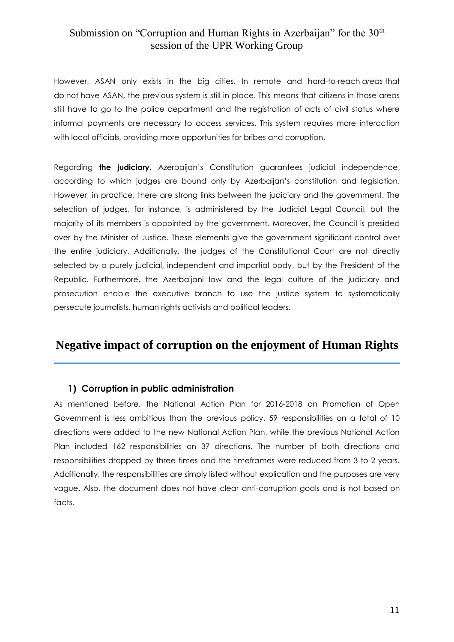However, ASAN only exists in the big cities. In remote and hard-to-reach *areas* that do not have ASAN, the previous system is still in place. This means that citizens in those areas still have to go to the police department and the registration of acts of civil status where informal payments are necessary to access services. This system requires more interaction with local officials, providing more opportunities for bribes and corruption.

Regarding **the judiciary**, Azerbaijan's Constitution guarantees judicial independence, according to which judges are bound only by Azerbaijan's constitution and legislation. However, in practice, there are strong links between the judiciary and the government. The selection of judges, for instance, is administered by the Judicial Legal Council, but the majority of its members is appointed by the government. Moreover, the Council is presided over by the Minister of Justice. These elements give the government significant control over the entire judiciary. Additionally, the judges of the Constitutional Court are not directly selected by a purely judicial, independent and impartial body, but by the President of the Republic. Furthermore, the Azerbaijani law and the legal culture of the judiciary and prosecution enable the executive branch to use the justice system to systematically persecute journalists, human rights activists and political leaders.

#### **Negative impact of corruption on the enjoyment of Human Rights**

#### **1) Corruption in public administration**

As mentioned before, the National Action Plan for 2016-2018 on Promotion of Open Government is less ambitious than the previous policy. 59 responsibilities on a total of 10 directions were added to the new National Action Plan, while the previous National Action Plan included 162 responsibilities on 37 directions. The number of both directions and responsibilities dropped by three times and the timeframes were reduced from 3 to 2 years. Additionally, the responsibilities are simply listed without explication and the purposes are very vague. Also, the document does not have clear anti-corruption goals and is not based on facts.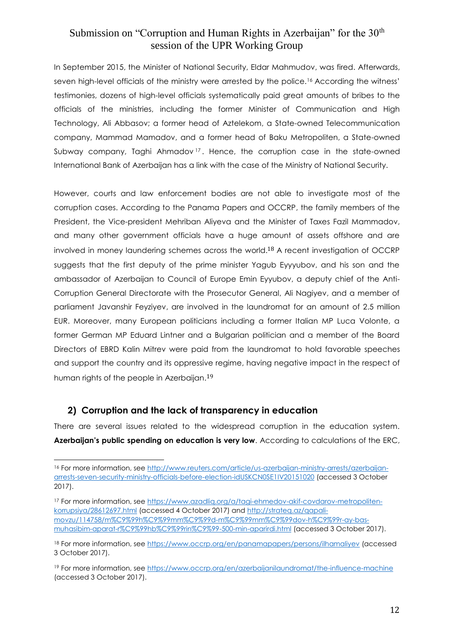In September 2015, the Minister of National Security, Eldar Mahmudov, was fired. Afterwards, seven high-level officials of the ministry were arrested by the police.<sup>16</sup> According the witness' testimonies, dozens of high-level officials systematically paid great amounts of bribes to the officials of the ministries, including the former Minister of Communication and High Technology, Ali Abbasov; a former head of Aztelekom, a State-owned Telecommunication company, Mammad Mamadov, and a former head of Baku Metropoliten, a State-owned Subway company, Taghi Ahmadov <sup>17</sup> . Hence, the corruption case in the state-owned International Bank of Azerbaijan has a link with the case of the Ministry of National Security.

However, courts and law enforcement bodies are not able to investigate most of the corruption cases. According to the Panama Papers and OCCRP, the family members of the President, the Vice-president Mehriban Aliyeva and the Minister of Taxes Fazil Mammadov, and many other government officials have a huge amount of assets offshore and are involved in money laundering schemes across the world.18 A recent investigation of OCCRP suggests that the first deputy of the prime minister Yagub Eyyyubov, and his son and the ambassador of Azerbaijan to Council of Europe Emin Eyyubov, a deputy chief of the Anti-Corruption General Directorate with the Prosecutor General, Ali Nagiyev, and a member of parliament Javanshir Feyziyev, are involved in the laundromat for an amount of 2.5 million EUR. Moreover, many European politicians including a former Italian MP Luca Volonte, a former German MP Eduard Lintner and a Bulgarian politician and a member of the Board Directors of EBRD Kalin Mitrev were paid from the laundromat to hold favorable speeches and support the country and its oppressive regime, having negative impact in the respect of human rights of the people in Azerbaijan. 19

#### **2) Corruption and the lack of transparency in education**

 $\overline{a}$ 

There are several issues related to the widespread corruption in the education system. **Azerbaijan's public spending on education is very low**. According to calculations of the ERC,

<sup>17</sup> For more information, see https://www.azadlig.org/a/tagi-ehmedov-akif-covdarov-metropoliten[korrupsiya/28612697.html](https://www.azadliq.org/a/tagi-ehmedov-akif-covdarov-metropoliten-korrupsiya/28612697.html) (accessed 4 October 2017) and [http://strateq.az/qapali](http://strateq.az/qapali-movzu/114758/m%C9%99h%C9%99mm%C9%99d-m%C9%99mm%C9%99dov-h%C9%99r-ay-bas-muhasibim-aparat-r%C9%99hb%C9%99rin%C9%99-500-min-aparirdi.html)[movzu/114758/m%C9%99h%C9%99mm%C9%99d-m%C9%99mm%C9%99dov-h%C9%99r-ay-bas](http://strateq.az/qapali-movzu/114758/m%C9%99h%C9%99mm%C9%99d-m%C9%99mm%C9%99dov-h%C9%99r-ay-bas-muhasibim-aparat-r%C9%99hb%C9%99rin%C9%99-500-min-aparirdi.html)[muhasibim-aparat-r%C9%99hb%C9%99rin%C9%99-500-min-aparirdi.html](http://strateq.az/qapali-movzu/114758/m%C9%99h%C9%99mm%C9%99d-m%C9%99mm%C9%99dov-h%C9%99r-ay-bas-muhasibim-aparat-r%C9%99hb%C9%99rin%C9%99-500-min-aparirdi.html) (accessed 3 October 2017).

<sup>16</sup> For more information, see [http://www.reuters.com/article/us-azerbaijan-ministry-arrests/azerbaijan](http://www.reuters.com/article/us-azerbaijan-ministry-arrests/azerbaijan-arrests-seven-security-ministry-officials-before-election-idUSKCN0SE1IV20151020)[arrests-seven-security-ministry-officials-before-election-idUSKCN0SE1IV20151020](http://www.reuters.com/article/us-azerbaijan-ministry-arrests/azerbaijan-arrests-seven-security-ministry-officials-before-election-idUSKCN0SE1IV20151020) (accessed 3 October 2017).

<sup>18</sup> For more information, see<https://www.occrp.org/en/panamapapers/persons/ilhamaliyev> (accessed 3 October 2017).

<sup>&</sup>lt;sup>19</sup> For more information, see<https://www.occrp.org/en/azerbaijanilaundromat/the-influence-machine> (accessed 3 October 2017).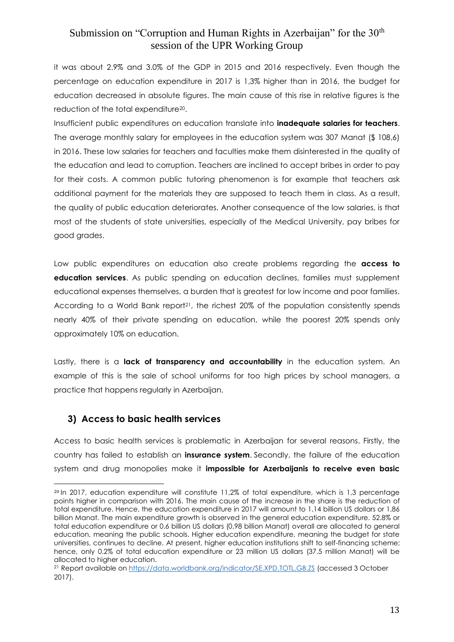it was about 2.9% and 3.0% of the GDP in 2015 and 2016 respectively. Even though the percentage on education expenditure in 2017 is 1,3% higher than in 2016, the budget for education decreased in absolute figures. The main cause of this rise in relative figures is the reduction of the total expenditure20.

Insufficient public expenditures on education translate into **inadequate salaries for teachers**. The average monthly salary for employees in the education system was 307 Manat (\$ 108,6) in 2016. These low salaries for teachers and faculties make them disinterested in the quality of the education and lead to corruption. Teachers are inclined to accept bribes in order to pay for their costs. A common public tutoring phenomenon is for example that teachers ask additional payment for the materials they are supposed to teach them in class. As a result, the quality of public education deteriorates. Another consequence of the low salaries, is that most of the students of state universities, especially of the Medical University, pay bribes for good grades.

Low public expenditures on education also create problems regarding the **access to education services**. As public spending on education declines, families must supplement educational expenses themselves, a burden that is greatest for low income and poor families. According to a World Bank report<sup>21</sup>, the richest 20% of the population consistently spends nearly 40% of their private spending on education, while the poorest 20% spends only approximately 10% on education.

Lastly, there is a **lack of transparency and accountability** in the education system. An example of this is the sale of school uniforms for too high prices by school managers, a practice that happens regularly in Azerbaijan.

#### **3) Access to basic health services**

 $\overline{a}$ 

Access to basic health services is problematic in Azerbaijan for several reasons. Firstly, the country has failed to establish an **insurance system**. Secondly, the failure of the education system and drug monopolies make it **impossible for Azerbaijanis to receive even basic** 

<sup>20</sup> In 2017, education expenditure will constitute 11,2% of total expenditure, which is 1,3 percentage points higher in comparison with 2016. The main cause of the increase in the share is the reduction of total expenditure. Hence, the education expenditure in 2017 will amount to 1,14 billion US dollars or 1,86 billion Manat. The main expenditure growth is observed in the general education expenditure. 52.8% or total education expenditure or 0.6 billion US dollars (0,98 billion Manat) overall are allocated to general education, meaning the public schools. Higher education expenditure, meaning the budget for state universities, continues to decline. At present, higher education institutions shift to self-financing scheme; hence, only 0.2% of total education expenditure or 23 million US dollars (37.5 million Manat) will be allocated to higher education.

<sup>21</sup> Report available on<https://data.worldbank.org/indicator/SE.XPD.TOTL.GB.ZS> (accessed 3 October 2017).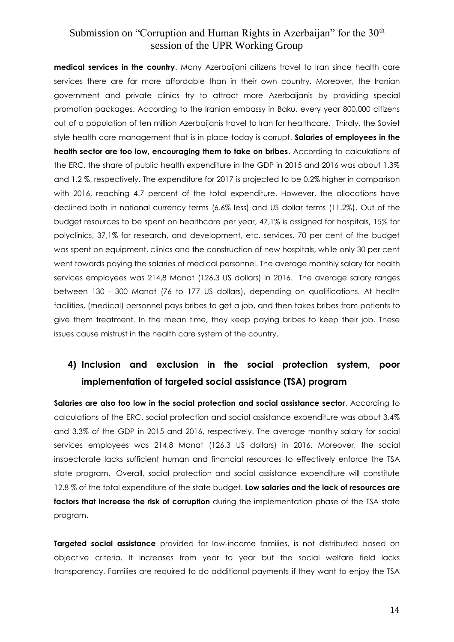**medical services in the country**. Many Azerbaijani citizens travel to Iran since health care services there are far more affordable than in their own country. Moreover, the Iranian government and private clinics try to attract more Azerbaijanis by providing special promotion packages. According to the Iranian embassy in Baku, every year 800,000 citizens out of a population of ten million Azerbaijanis travel to Iran for healthcare. Thirdly, the Soviet style health care management that is in place today is corrupt. **Salaries of employees in the health sector are too low, encouraging them to take on bribes**. According to calculations of the ERC, the share of public health expenditure in the GDP in 2015 and 2016 was about 1.3% and 1.2 %, respectively. The expenditure for 2017 is projected to be 0.2% higher in comparison with 2016, reaching 4.7 percent of the total expenditure. However, the allocations have declined both in national currency terms (6.6% less) and US dollar terms (11.2%). Out of the budget resources to be spent on healthcare per year, 47,1% is assigned for hospitals, 15% for polyclinics, 37,1% for research, and development, etc. services. 70 per cent of the budget was spent on equipment, clinics and the construction of new hospitals, while only 30 per cent went towards paying the salaries of medical personnel. The average monthly salary for health services employees was 214,8 Manat (126,3 US dollars) in 2016. The average salary ranges between 130 - 300 Manat (76 to 177 US dollars), depending on qualifications. At health facilities, (medical) personnel pays bribes to get a job, and then takes bribes from patients to give them treatment. In the mean time, they keep paying bribes to keep their job. These issues cause mistrust in the health care system of the country.

# **4) Inclusion and exclusion in the social protection system, poor implementation of targeted social assistance (TSA) program**

**Salaries are also too low in the social protection and social assistance sector**. According to calculations of the ERC, social protection and social assistance expenditure was about 3.4% and 3.3% of the GDP in 2015 and 2016, respectively. The average monthly salary for social services employees was 214,8 Manat (126,3 US dollars) in 2016. Moreover, the social inspectorate lacks sufficient human and financial resources to effectively enforce the TSA state program. Overall, social protection and social assistance expenditure will constitute 12.8 % of the total expenditure of the state budget. **Low salaries and the lack of resources are factors that increase the risk of corruption** during the implementation phase of the TSA state program.

**Targeted social assistance** provided for low-income families, is not distributed based on objective criteria. It increases from year to year but the social welfare field lacks transparency. Families are required to do additional payments if they want to enjoy the TSA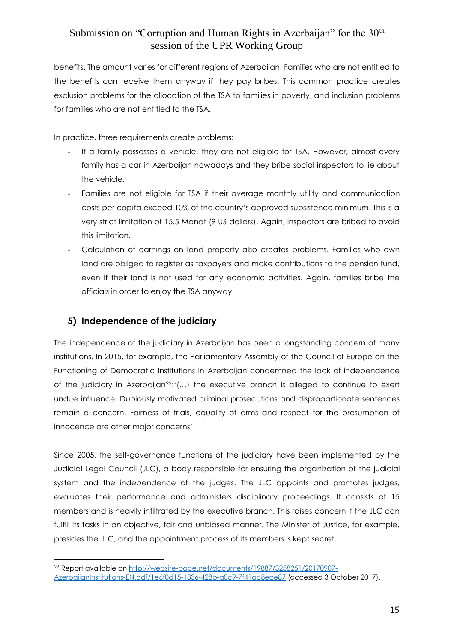benefits. The amount varies for different regions of Azerbaijan. Families who are not entitled to the benefits can receive them anyway if they pay bribes. This common practice creates exclusion problems for the allocation of the TSA to families in poverty, and inclusion problems for families who are not entitled to the TSA.

In practice, three requirements create problems:

- If a family possesses a vehicle, they are not eligible for TSA. However, almost every family has a car in Azerbaijan nowadays and they bribe social inspectors to lie about the vehicle.
- Families are not eligible for TSA if their average monthly utility and communication costs per capita exceed 10% of the country's approved subsistence minimum. This is a very strict limitation of 15.5 Manat (9 US dollars). Again, inspectors are bribed to avoid this limitation.
- Calculation of earnings on land property also creates problems. Families who own land are obliged to register as taxpayers and make contributions to the pension fund, even if their land is not used for any economic activities. Again, families bribe the officials in order to enjoy the TSA anyway.

#### **5) Independence of the judiciary**

 $\overline{a}$ 

The independence of the judiciary in Azerbaijan has been a longstanding concern of many institutions. In 2015, for example, the Parliamentary Assembly of the Council of Europe on the Functioning of Democratic Institutions in Azerbaijan condemned the lack of independence of the judiciary in Azerbaijan22:'(…) the executive branch is alleged to continue to exert undue influence. Dubiously motivated criminal prosecutions and disproportionate sentences remain a concern. Fairness of trials, equality of arms and respect for the presumption of innocence are other major concerns'.

Since 2005, the self-governance functions of the judiciary have been implemented by the Judicial Legal Council (JLC), a body responsible for ensuring the organization of the judicial system and the independence of the judges. The JLC appoints and promotes judges, evaluates their performance and administers disciplinary proceedings. It consists of 15 members and is heavily infiltrated by the executive branch. This raises concern if the JLC can fulfill its tasks in an objective, fair and unbiased manner. The Minister of Justice, for example, presides the JLC, and the appointment process of its members is kept secret.

<sup>22</sup> Report available on [http://website-pace.net/documents/19887/3258251/20170907-](http://website-pace.net/documents/19887/3258251/20170907-AzerbaijanInstitutions-EN.pdf/1e6f0d15-1836-428b-a0c9-7f41ac8ece87) [AzerbaijanInstitutions-EN.pdf/1e6f0d15-1836-428b-a0c9-7f41ac8ece87](http://website-pace.net/documents/19887/3258251/20170907-AzerbaijanInstitutions-EN.pdf/1e6f0d15-1836-428b-a0c9-7f41ac8ece87) (accessed 3 October 2017).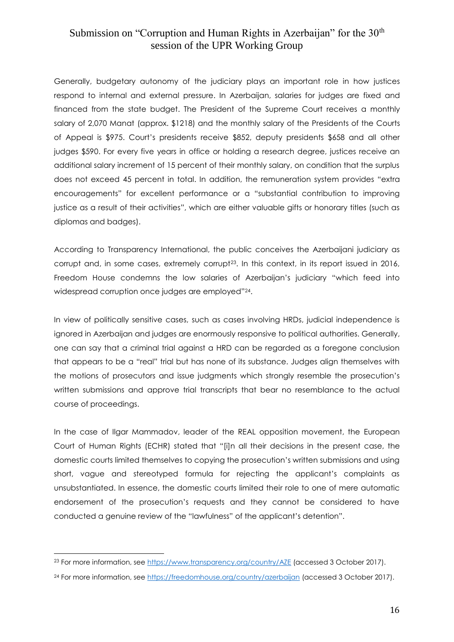Generally, budgetary autonomy of the judiciary plays an important role in how justices respond to internal and external pressure. In Azerbaijan, salaries for judges are fixed and financed from the state budget. The President of the Supreme Court receives a monthly salary of 2,070 Manat (approx. \$1218) and the monthly salary of the Presidents of the Courts of Appeal is \$975. Court's presidents receive \$852, deputy presidents \$658 and all other judges \$590. For every five years in office or holding a research degree, justices receive an additional salary increment of 15 percent of their monthly salary, on condition that the surplus does not exceed 45 percent in total. In addition, the remuneration system provides "extra encouragements" for excellent performance or a "substantial contribution to improving justice as a result of their activities", which are either valuable gifts or honorary titles (such as diplomas and badges).

According to Transparency International, the public conceives the Azerbaijani judiciary as corrupt and, in some cases, extremely corrupt<sup>23</sup>. In this context, in its report issued in 2016, Freedom House condemns the low salaries of Azerbaijan's judiciary "which feed into widespread corruption once judges are employed"24.

In view of politically sensitive cases, such as cases involving HRDs, judicial independence is ignored in Azerbaijan and judges are enormously responsive to political authorities. Generally, one can say that a criminal trial against a HRD can be regarded as a foregone conclusion that appears to be a "real" trial but has none of its substance. Judges align themselves with the motions of prosecutors and issue judgments which strongly resemble the prosecution's written submissions and approve trial transcripts that bear no resemblance to the actual course of proceedings.

In the case of Ilgar Mammadov, leader of the REAL opposition movement, the European Court of Human Rights (ECHR) stated that "[i]n all their decisions in the present case, the domestic courts limited themselves to copying the prosecution's written submissions and using short, vague and stereotyped formula for rejecting the applicant's complaints as unsubstantiated. In essence, the domestic courts limited their role to one of mere automatic endorsement of the prosecution's requests and they cannot be considered to have conducted a genuine review of the "lawfulness" of the applicant's detention".

<sup>&</sup>lt;sup>23</sup> For more information, see<https://www.transparency.org/country/AZE> (accessed 3 October 2017).

<sup>&</sup>lt;sup>24</sup> For more information, see<https://freedomhouse.org/country/azerbaijan> (accessed 3 October 2017).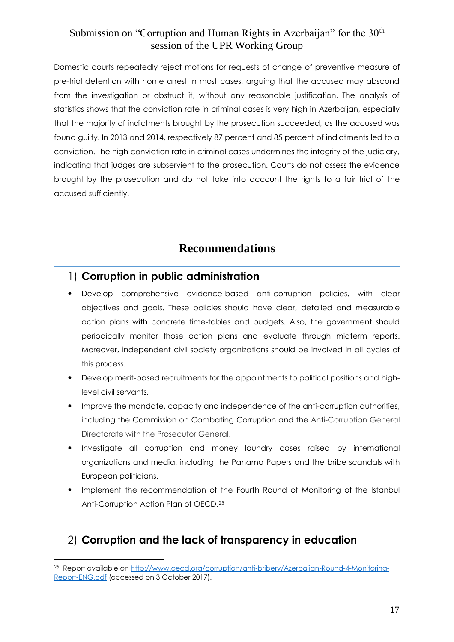Domestic courts repeatedly reject motions for requests of change of preventive measure of pre-trial detention with home arrest in most cases, arguing that the accused may abscond from the investigation or obstruct it, without any reasonable justification. The analysis of statistics shows that the conviction rate in criminal cases is very high in Azerbaijan, especially that the majority of indictments brought by the prosecution succeeded, as the accused was found guilty. In 2013 and 2014, respectively 87 percent and 85 percent of indictments led to a conviction. The high conviction rate in criminal cases undermines the integrity of the judiciary, indicating that judges are subservient to the prosecution. Courts do not assess the evidence brought by the prosecution and do not take into account the rights to a fair trial of the accused sufficiently.

# **Recommendations**

#### 1) **Corruption in public administration**

- Develop comprehensive evidence-based anti-corruption policies, with clear objectives and goals. These policies should have clear, detailed and measurable action plans with concrete time-tables and budgets. Also, the government should periodically monitor those action plans and evaluate through midterm reports. Moreover, independent civil society organizations should be involved in all cycles of this process.
- Develop merit-based recruitments for the appointments to political positions and highlevel civil servants.
- Improve the mandate, capacity and independence of the anti-corruption authorities, including the Commission on Combating Corruption and the Anti-Corruption General Directorate with the Prosecutor General.
- Investigate all corruption and money laundry cases raised by international organizations and media, including the Panama Papers and the bribe scandals with European politicians.
- Implement the recommendation of the Fourth Round of Monitoring of the Istanbul Anti-Corruption Action Plan of OECD.<sup>25</sup>

### 2) **Corruption and the lack of transparency in education**

 25 Report available on [http://www.oecd.org/corruption/anti-bribery/Azerbaijan-Round-4-Monitoring-](http://www.oecd.org/corruption/anti-bribery/Azerbaijan-Round-4-Monitoring-Report-ENG.pdf)[Report-ENG.pdf](http://www.oecd.org/corruption/anti-bribery/Azerbaijan-Round-4-Monitoring-Report-ENG.pdf) (accessed on 3 October 2017).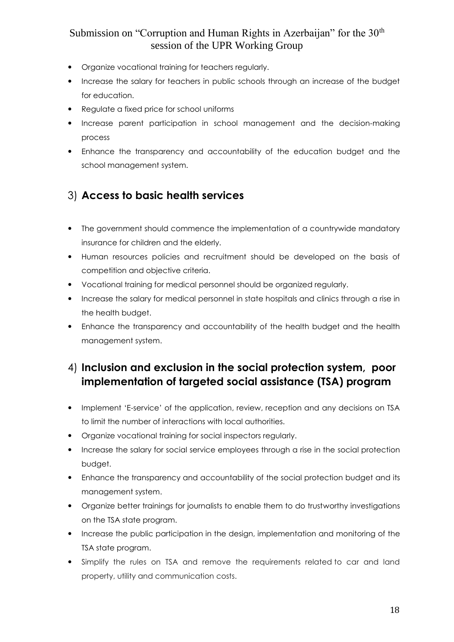- Organize vocational training for teachers regularly.
- Increase the salary for teachers in public schools through an increase of the budget for education.
- Regulate a fixed price for school uniforms
- Increase parent participation in school management and the decision-making process
- Enhance the transparency and accountability of the education budget and the school management system.

### 3) **Access to basic health services**

- The government should commence the implementation of a countrywide mandatory insurance for children and the elderly.
- Human resources policies and recruitment should be developed on the basis of competition and objective criteria.
- Vocational training for medical personnel should be organized regularly.
- Increase the salary for medical personnel in state hospitals and clinics through a rise in the health budget.
- Enhance the transparency and accountability of the health budget and the health management system.

# 4) **Inclusion and exclusion in the social protection system, poor implementation of targeted social assistance (TSA) program**

- Implement 'E-service' of the application, review, reception and any decisions on TSA to limit the number of interactions with local authorities.
- Organize vocational training for social inspectors regularly.
- Increase the salary for social service employees through a rise in the social protection budget.
- Enhance the transparency and accountability of the social protection budget and its management system.
- Organize better trainings for journalists to enable them to do trustworthy investigations on the TSA state program.
- Increase the public participation in the design, implementation and monitoring of the TSA state program.
- Simplify the rules on TSA and remove the requirements related to car and land property, utility and communication costs.